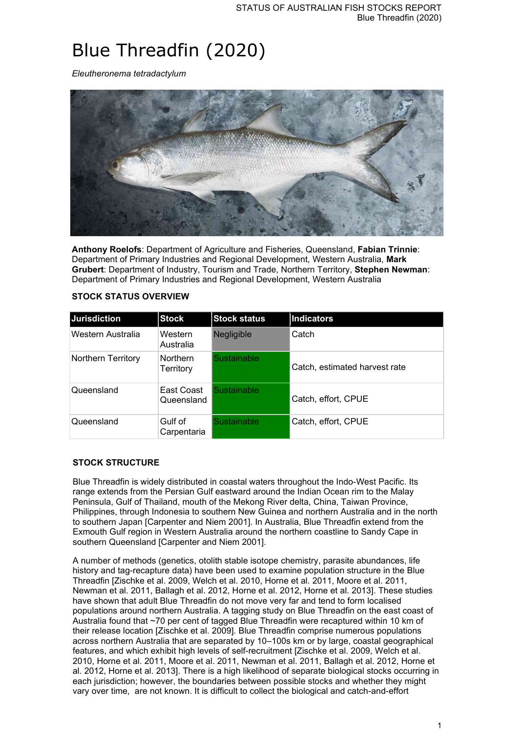# Blue Threadfin (2020)

*Eleutheronema tetradactylum*



**Anthony Roelofs**: Department of Agriculture and Fisheries, Queensland, **Fabian Trinnie**: Department of Primary Industries and Regional Development, Western Australia, **Mark Grubert**: Department of Industry, Tourism and Trade, Northern Territory, **Stephen Newman**: Department of Primary Industries and Regional Development, Western Australia

| <b>Jurisdiction</b> | <b>Stock</b>                 | <b>Stock status</b> | <b>Indicators</b>             |
|---------------------|------------------------------|---------------------|-------------------------------|
| Western Australia   | Western<br>Australia         | <b>Negligible</b>   | Catch                         |
| Northern Territory  | <b>Northern</b><br>Territory | <b>Sustainable</b>  | Catch, estimated harvest rate |
| Queensland          | East Coast<br>Queensland     | Sustainable         | Catch, effort, CPUE           |
| Queensland          | Gulf of<br>Carpentaria       | Sustainable         | Catch, effort, CPUE           |

#### **STOCK STATUS OVERVIEW**

## **STOCK STRUCTURE**

Blue Threadfin is widely distributed in coastal waters throughout the Indo-West Pacific. Its range extends from the Persian Gulf eastward around the Indian Ocean rim to the Malay Peninsula, Gulf of Thailand, mouth of the Mekong River delta, China, Taiwan Province, Philippines, through Indonesia to southern New Guinea and northern Australia and in the north to southern Japan [Carpenter and Niem 2001]. In Australia, Blue Threadfin extend from the Exmouth Gulf region in Western Australia around the northern coastline to Sandy Cape in southern Queensland [Carpenter and Niem 2001].

A number of methods (genetics, otolith stable isotope chemistry, parasite abundances, life history and tag-recapture data) have been used to examine population structure in the Blue Threadfin [Zischke et al. 2009, Welch et al. 2010, Horne et al. 2011, Moore et al. 2011, Newman et al. 2011, Ballagh et al. 2012, Horne et al. 2012, Horne et al. 2013]. These studies have shown that adult Blue Threadfin do not move very far and tend to form localised populations around northern Australia. A tagging study on Blue Threadfin on the east coast of Australia found that ~70 per cent of tagged Blue Threadfin were recaptured within 10 km of their release location [Zischke et al. 2009]. Blue Threadfin comprise numerous populations across northern Australia that are separated by 10–100s km or by large, coastal geographical features, and which exhibit high levels of self-recruitment [Zischke et al. 2009, Welch et al. 2010, Horne et al. 2011, Moore et al. 2011, Newman et al. 2011, Ballagh et al. 2012, Horne et al. 2012, Horne et al. 2013]. There is a high likelihood of separate biological stocks occurring in each jurisdiction; however, the boundaries between possible stocks and whether they might vary over time, are not known. It is difficult to collect the biological and catch-and-effort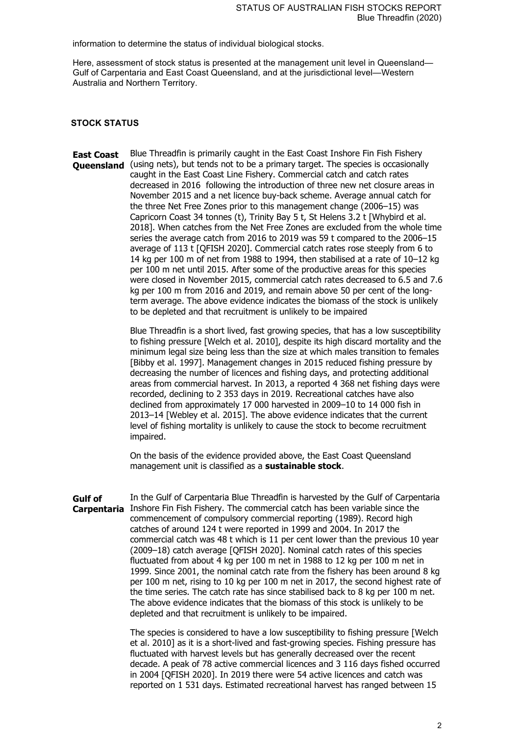information to determine the status of individual biological stocks.

Here, assessment of stock status is presented at the management unit level in Queensland— Gulf of Carpentaria and East Coast Queensland, and at the jurisdictional level—Western Australia and Northern Territory.

#### **STOCK STATUS**

**East Coast Queensland** (using nets), but tends not to be a primary target. The species is occasionally Blue Threadfin is primarily caught in the East Coast Inshore Fin Fish Fishery caught in the East Coast Line Fishery. Commercial catch and catch rates decreased in 2016 following the introduction of three new net closure areas in November 2015 and a net licence buy-back scheme. Average annual catch for the three Net Free Zones prior to this management change (2006–15) was Capricorn Coast 34 tonnes (t), Trinity Bay 5 t, St Helens 3.2 t [Whybird et al. 2018]. When catches from the Net Free Zones are excluded from the whole time series the average catch from 2016 to 2019 was 59 t compared to the 2006–15 average of 113 t [QFISH 2020]. Commercial catch rates rose steeply from 6 to 14 kg per 100 m of net from 1988 to 1994, then stabilised at a rate of 10–12 kg per 100 m net until 2015. After some of the productive areas for this species were closed in November 2015, commercial catch rates decreased to 6.5 and 7.6 kg per 100 m from 2016 and 2019, and remain above 50 per cent of the longterm average. The above evidence indicates the biomass of the stock is unlikely to be depleted and that recruitment is unlikely to be impaired

> Blue Threadfin is a short lived, fast growing species, that has a low susceptibility to fishing pressure [Welch et al. 2010], despite its high discard mortality and the minimum legal size being less than the size at which males transition to females [Bibby et al. 1997]. Management changes in 2015 reduced fishing pressure by decreasing the number of licences and fishing days, and protecting additional areas from commercial harvest. In 2013, a reported 4 368 net fishing days were recorded, declining to 2 353 days in 2019. Recreational catches have also declined from approximately 17 000 harvested in 2009–10 to 14 000 fish in 2013–14 [Webley et al. 2015]. The above evidence indicates that the current level of fishing mortality is unlikely to cause the stock to become recruitment impaired.

On the basis of the evidence provided above, the East Coast Queensland management unit is classified as a **sustainable stock**.

**Gulf of Carpentaria** Inshore Fin Fish Fishery. The commercial catch has been variable since the In the Gulf of Carpentaria Blue Threadfin is harvested by the Gulf of Carpentaria commencement of compulsory commercial reporting (1989). Record high catches of around 124 t were reported in 1999 and 2004. In 2017 the commercial catch was 48 t which is 11 per cent lower than the previous 10 year (2009–18) catch average [QFISH 2020]. Nominal catch rates of this species fluctuated from about 4 kg per 100 m net in 1988 to 12 kg per 100 m net in 1999. Since 2001, the nominal catch rate from the fishery has been around 8 kg per 100 m net, rising to 10 kg per 100 m net in 2017, the second highest rate of the time series. The catch rate has since stabilised back to 8 kg per 100 m net. The above evidence indicates that the biomass of this stock is unlikely to be depleted and that recruitment is unlikely to be impaired.

> The species is considered to have a low susceptibility to fishing pressure [Welch et al. 2010] as it is a short-lived and fast-growing species. Fishing pressure has fluctuated with harvest levels but has generally decreased over the recent decade. A peak of 78 active commercial licences and 3 116 days fished occurred in 2004 [QFISH 2020]. In 2019 there were 54 active licences and catch was reported on 1 531 days. Estimated recreational harvest has ranged between 15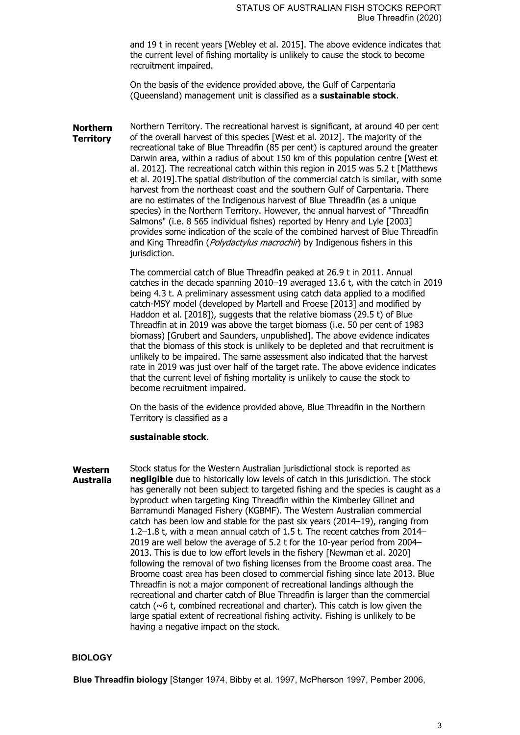and 19 t in recent years [Webley et al. 2015]. The above evidence indicates that the current level of fishing mortality is unlikely to cause the stock to become recruitment impaired.

On the basis of the evidence provided above, the Gulf of Carpentaria (Queensland) management unit is classified as a **sustainable stock**.

**Northern Territory** Northern Territory. The recreational harvest is significant, at around 40 per cent of the overall harvest of this species [West et al. 2012]. The majority of the recreational take of Blue Threadfin (85 per cent) is captured around the greater Darwin area, within a radius of about 150 km of this population centre [West et al. 2012]. The recreational catch within this region in 2015 was 5.2 t [Matthews et al. 2019].The spatial distribution of the commercial catch is similar, with some harvest from the northeast coast and the southern Gulf of Carpentaria. There are no estimates of the Indigenous harvest of Blue Threadfin (as a unique species) in the Northern Territory. However, the annual harvest of "Threadfin Salmons" (i.e. 8 565 individual fishes) reported by Henry and Lyle [2003] provides some indication of the scale of the combined harvest of Blue Threadfin and King Threadfin (*Polydactylus macrochir*) by Indigenous fishers in this jurisdiction.

> The commercial catch of Blue Threadfin peaked at 26.9 t in 2011. Annual catches in the decade spanning 2010–19 averaged 13.6 t, with the catch in 2019 being 4.3 t. A preliminary assessment using catch data applied to a modified catch-MSY model (developed by Martell and Froese [2013] and modified by Haddon et al. [2018]), suggests that the relative biomass (29.5 t) of Blue Threadfin at in 2019 was above the target biomass (i.e. 50 per cent of 1983 biomass) [Grubert and Saunders, unpublished]. The above evidence indicates that the biomass of this stock is unlikely to be depleted and that recruitment is unlikely to be impaired. The same assessment also indicated that the harvest rate in 2019 was just over half of the target rate. The above evidence indicates that the current level of fishing mortality is unlikely to cause the stock to become recruitment impaired.

On the basis of the evidence provided above, Blue Threadfin in the Northern Territory is classified as a

#### **sustainable stock**.

**Western Australia** Stock status for the Western Australian jurisdictional stock is reported as **negligible** due to historically low levels of catch in this jurisdiction. The stock has generally not been subject to targeted fishing and the species is caught as a byproduct when targeting King Threadfin within the Kimberley Gillnet and Barramundi Managed Fishery (KGBMF). The Western Australian commercial catch has been low and stable for the past six years (2014–19), ranging from 1.2–1.8 t, with a mean annual catch of 1.5 t. The recent catches from 2014– 2019 are well below the average of 5.2 t for the 10-year period from 2004– 2013. This is due to low effort levels in the fishery [Newman et al. 2020] following the removal of two fishing licenses from the Broome coast area. The Broome coast area has been closed to commercial fishing since late 2013. Blue Threadfin is not a major component of recreational landings although the recreational and charter catch of Blue Threadfin is larger than the commercial catch ( $\sim$ 6 t, combined recreational and charter). This catch is low given the large spatial extent of recreational fishing activity. Fishing is unlikely to be having a negative impact on the stock.

# **BIOLOGY**

**Blue Threadfin biology** [Stanger 1974, Bibby et al. 1997, McPherson 1997, Pember 2006,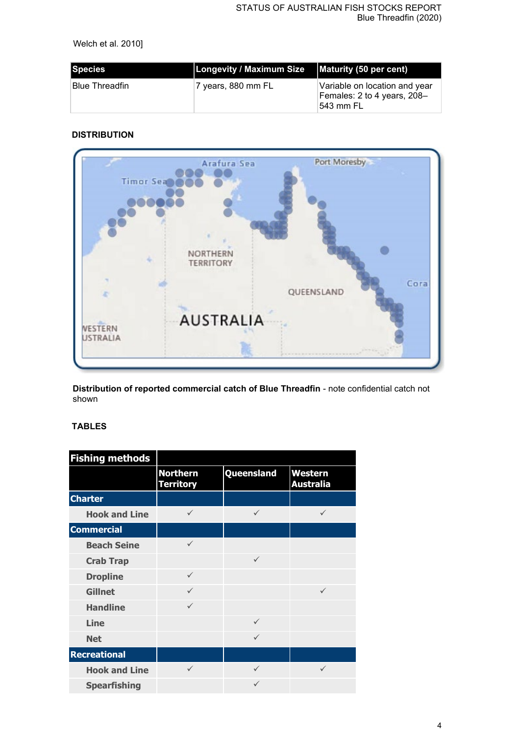Welch et al. 2010]

| Species         | <b>Longevity / Maximum Size</b> | Maturity (50 per cent)                                                     |
|-----------------|---------------------------------|----------------------------------------------------------------------------|
| ∣Blue Threadfin | <sup>≀</sup> 7 years, 880 mm FL | Variable on location and year<br>Females: 2 to 4 years, 208-<br>⊺543 mm FL |

# **DISTRIBUTION**



**Distribution of reported commercial catch of Blue Threadfin** - note confidential catch not shown

# **TABLES**

| <b>Fishing methods</b> |                                     |              |                             |
|------------------------|-------------------------------------|--------------|-----------------------------|
|                        | <b>Northern</b><br><b>Territory</b> | Queensland   | Western<br><b>Australia</b> |
| <b>Charter</b>         |                                     |              |                             |
| <b>Hook and Line</b>   | $\checkmark$                        | ✓            | ✓                           |
| <b>Commercial</b>      |                                     |              |                             |
| <b>Beach Seine</b>     | $\checkmark$                        |              |                             |
| <b>Crab Trap</b>       |                                     | $\checkmark$ |                             |
| <b>Dropline</b>        | $\checkmark$                        |              |                             |
| <b>Gillnet</b>         | $\checkmark$                        |              | $\checkmark$                |
| <b>Handline</b>        | $\checkmark$                        |              |                             |
| <b>Line</b>            |                                     | $\checkmark$ |                             |
| <b>Net</b>             |                                     | ✓            |                             |
| <b>Recreational</b>    |                                     |              |                             |
| <b>Hook and Line</b>   | $\checkmark$                        | ✓            | ✓                           |
| <b>Spearfishing</b>    |                                     | ✓            |                             |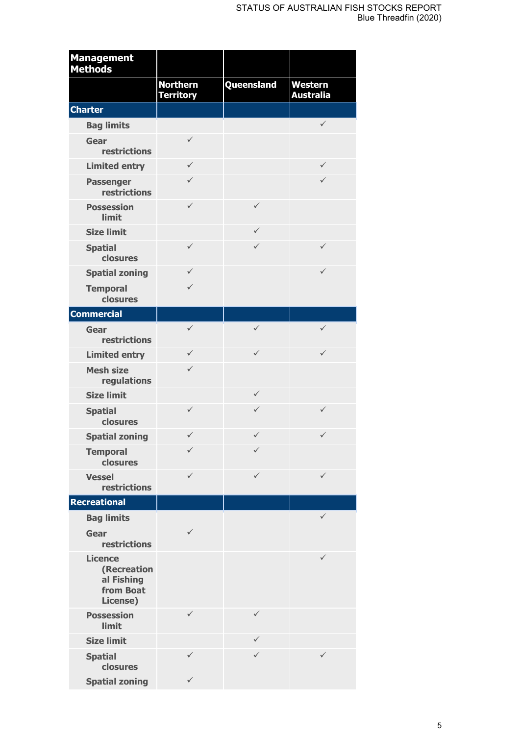| <b>Management</b><br><b>Methods</b>                                  |                                     |                   |                             |
|----------------------------------------------------------------------|-------------------------------------|-------------------|-----------------------------|
|                                                                      | <b>Northern</b><br><b>Territory</b> | <b>Queensland</b> | Western<br><b>Australia</b> |
| <b>Charter</b>                                                       |                                     |                   |                             |
| <b>Bag limits</b>                                                    |                                     |                   | $\checkmark$                |
| Gear<br>restrictions                                                 | ✓                                   |                   |                             |
| <b>Limited entry</b>                                                 | $\checkmark$                        |                   | ✓                           |
| <b>Passenger</b><br>restrictions                                     | $\checkmark$                        |                   | ✓                           |
| <b>Possession</b><br>limit                                           | $\checkmark$                        | $\checkmark$      |                             |
| <b>Size limit</b>                                                    |                                     | $\checkmark$      |                             |
| <b>Spatial</b><br>closures                                           | $\checkmark$                        | $\checkmark$      | $\checkmark$                |
| <b>Spatial zoning</b>                                                | $\checkmark$                        |                   | $\checkmark$                |
| <b>Temporal</b><br>closures                                          | $\checkmark$                        |                   |                             |
| <b>Commercial</b>                                                    |                                     |                   |                             |
| Gear<br><b>restrictions</b>                                          | $\checkmark$                        | $\checkmark$      | ✓                           |
| <b>Limited entry</b>                                                 | $\checkmark$                        | $\checkmark$      | ✓                           |
| <b>Mesh size</b><br>regulations                                      | $\checkmark$                        |                   |                             |
| <b>Size limit</b>                                                    |                                     | $\checkmark$      |                             |
| <b>Spatial</b><br>closures                                           | ✓                                   | $\checkmark$      | ✓                           |
| <b>Spatial zoning</b>                                                | ✓                                   | $\checkmark$      | ✓                           |
| <b>Temporal</b><br>closures                                          |                                     | ✓                 |                             |
| <b>Vessel</b><br><b>restrictions</b>                                 | ✓                                   | $\checkmark$      | ✓                           |
| <b>Recreational</b>                                                  |                                     |                   |                             |
| <b>Bag limits</b>                                                    |                                     |                   | $\checkmark$                |
| Gear<br><b>restrictions</b>                                          | ✓                                   |                   |                             |
| <b>Licence</b><br>(Recreation<br>al Fishing<br>from Boat<br>License) |                                     |                   | ✓                           |
| <b>Possession</b><br>limit                                           | ✓                                   | $\checkmark$      |                             |
| <b>Size limit</b>                                                    |                                     | $\checkmark$      |                             |
| <b>Spatial</b><br>closures                                           | ✓                                   | $\checkmark$      | ✓                           |
| <b>Spatial zoning</b>                                                | $\checkmark$                        |                   |                             |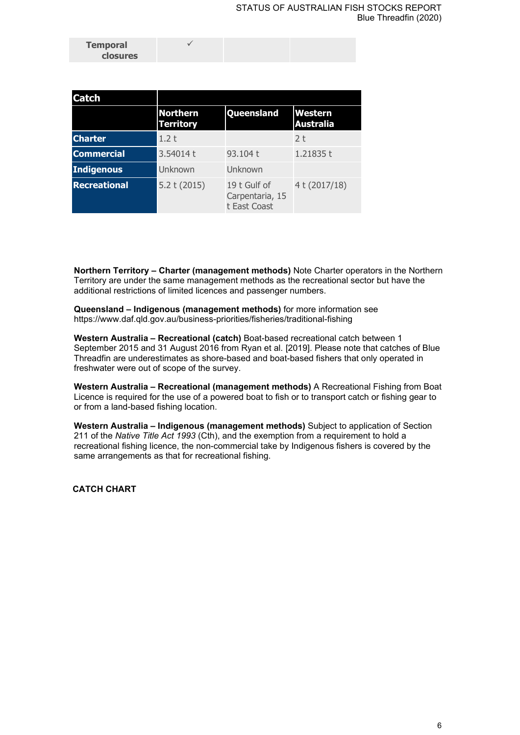| <b>Temporal</b> |  |  |
|-----------------|--|--|
| <b>closures</b> |  |  |

| <b>Catch</b>        |                                     |                                                 |                             |
|---------------------|-------------------------------------|-------------------------------------------------|-----------------------------|
|                     | <b>Northern</b><br><b>Territory</b> | Queensland                                      | Western<br><b>Australia</b> |
| <b>Charter</b>      | 1.2t                                |                                                 | 2 <sub>t</sub>              |
| <b>Commercial</b>   | 3.54014t                            | 93.104 t                                        | 1.21835t                    |
| Indigenous          | Unknown                             | Unknown                                         |                             |
| <b>Recreational</b> | 5.2 t(2015)                         | 19 t Gulf of<br>Carpentaria, 15<br>t East Coast | 4t (2017/18)                |

**Northern Territory – Charter (management methods)** Note Charter operators in the Northern Territory are under the same management methods as the recreational sector but have the additional restrictions of limited licences and passenger numbers.

**Queensland – Indigenous (management methods)** for more information see https://www.daf.qld.gov.au/business-priorities/fisheries/traditional-fishing

**Western Australia – Recreational (catch)** Boat-based recreational catch between 1 September 2015 and 31 August 2016 from Ryan et al. [2019]. Please note that catches of Blue Threadfin are underestimates as shore-based and boat-based fishers that only operated in freshwater were out of scope of the survey.

**Western Australia – Recreational (management methods)** A Recreational Fishing from Boat Licence is required for the use of a powered boat to fish or to transport catch or fishing gear to or from a land-based fishing location.

**Western Australia – Indigenous (management methods)** Subject to application of Section 211 of the *Native Title Act 1993* (Cth), and the exemption from a requirement to hold a recreational fishing licence, the non-commercial take by Indigenous fishers is covered by the same arrangements as that for recreational fishing.

**CATCH CHART**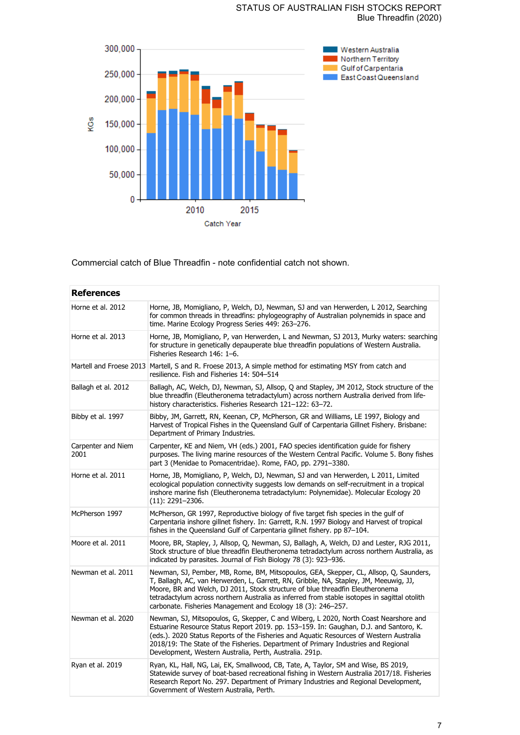## STATUS OF AUSTRALIAN FISH STOCKS REPORT Blue Threadfin (2020)



Commercial catch of Blue Threadfin - note confidential catch not shown.

| <b>References</b>          |                                                                                                                                                                                                                                                                                                                                                                                                                                 |
|----------------------------|---------------------------------------------------------------------------------------------------------------------------------------------------------------------------------------------------------------------------------------------------------------------------------------------------------------------------------------------------------------------------------------------------------------------------------|
| Horne et al. 2012          | Horne, JB, Momigliano, P, Welch, DJ, Newman, SJ and van Herwerden, L 2012, Searching<br>for common threads in threadfins: phylogeography of Australian polynemids in space and<br>time. Marine Ecology Progress Series 449: 263-276.                                                                                                                                                                                            |
| Horne et al. 2013          | Horne, JB, Momigliano, P, van Herwerden, L and Newman, SJ 2013, Murky waters: searching<br>for structure in genetically depauperate blue threadfin populations of Western Australia.<br>Fisheries Research 146: 1-6.                                                                                                                                                                                                            |
|                            | Martell and Froese 2013 Martell, S and R. Froese 2013, A simple method for estimating MSY from catch and<br>resilience. Fish and Fisheries 14: 504–514                                                                                                                                                                                                                                                                          |
| Ballagh et al. 2012        | Ballagh, AC, Welch, DJ, Newman, SJ, Allsop, Q and Stapley, JM 2012, Stock structure of the<br>blue threadfin (Eleutheronema tetradactylum) across northern Australia derived from life-<br>history characteristics. Fisheries Research 121-122: 63-72.                                                                                                                                                                          |
| Bibby et al. 1997          | Bibby, JM, Garrett, RN, Keenan, CP, McPherson, GR and Williams, LE 1997, Biology and<br>Harvest of Tropical Fishes in the Queensland Gulf of Carpentaria Gillnet Fishery. Brisbane:<br>Department of Primary Industries.                                                                                                                                                                                                        |
| Carpenter and Niem<br>2001 | Carpenter, KE and Niem, VH (eds.) 2001, FAO species identification guide for fishery<br>purposes. The living marine resources of the Western Central Pacific. Volume 5. Bony fishes<br>part 3 (Menidae to Pomacentridae). Rome, FAO, pp. 2791-3380.                                                                                                                                                                             |
| Horne et al. 2011          | Horne, JB, Momigliano, P, Welch, DJ, Newman, SJ and van Herwerden, L 2011, Limited<br>ecological population connectivity suggests low demands on self-recruitment in a tropical<br>inshore marine fish (Eleutheronema tetradactylum: Polynemidae). Molecular Ecology 20<br>(11): 2291–2306.                                                                                                                                     |
| McPherson 1997             | McPherson, GR 1997, Reproductive biology of five target fish species in the gulf of<br>Carpentaria inshore gillnet fishery. In: Garrett, R.N. 1997 Biology and Harvest of tropical<br>fishes in the Queensland Gulf of Carpentaria gillnet fishery. pp 87-104.                                                                                                                                                                  |
| Moore et al. 2011          | Moore, BR, Stapley, J, Allsop, Q, Newman, SJ, Ballagh, A, Welch, DJ and Lester, RJG 2011,<br>Stock structure of blue threadfin Eleutheronema tetradactylum across northern Australia, as<br>indicated by parasites. Journal of Fish Biology 78 (3): 923–936.                                                                                                                                                                    |
| Newman et al. 2011         | Newman, SJ, Pember, MB, Rome, BM, Mitsopoulos, GEA, Skepper, CL, Allsop, Q, Saunders,<br>T, Ballagh, AC, van Herwerden, L, Garrett, RN, Gribble, NA, Stapley, JM, Meeuwig, JJ,<br>Moore, BR and Welch, DJ 2011, Stock structure of blue threadfin Eleutheronema<br>tetradactylum across northern Australia as inferred from stable isotopes in sagittal otolith<br>carbonate. Fisheries Management and Ecology 18 (3): 246-257. |
| Newman et al. 2020         | Newman, SJ, Mitsopoulos, G, Skepper, C and Wiberg, L 2020, North Coast Nearshore and<br>Estuarine Resource Status Report 2019. pp. 153-159. In: Gaughan, D.J. and Santoro, K.<br>(eds.). 2020 Status Reports of the Fisheries and Aquatic Resources of Western Australia<br>2018/19: The State of the Fisheries. Department of Primary Industries and Regional<br>Development, Western Australia, Perth, Australia. 291p.       |
| Ryan et al. 2019           | Ryan, KL, Hall, NG, Lai, EK, Smallwood, CB, Tate, A, Taylor, SM and Wise, BS 2019,<br>Statewide survey of boat-based recreational fishing in Western Australia 2017/18. Fisheries<br>Research Report No. 297. Department of Primary Industries and Regional Development,<br>Government of Western Australia, Perth.                                                                                                             |